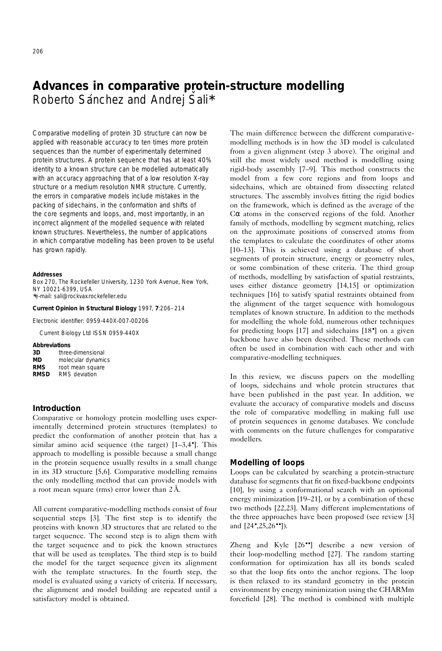# **Advances in comparative protein-structure modelling** Roberto Sánchez and Andrej Sali<sup>\*</sup>

Comparative modelling of protein 3D structure can now be applied with reasonable accuracy to ten times more protein sequences than the number of experimentally determined protein structures. A protein sequence that has at least 40% identity to a known structure can be modelled automatically with an accuracy approaching that of a low resolution X-ray structure or a medium resolution NMR structure. Currently, the errors in comparative models include mistakes in the packing of sidechains, in the conformation and shifts of the core segments and loops, and, most importantly, in an incorrect alignment of the modelled sequence with related known structures. Nevertheless, the number of applications in which comparative modelling has been proven to be useful has grown rapidly.

#### **Addresses**

Box 270, The Rockefeller University, 1230 York Avenue, New York, NY 10021-6399, USA ∗e-mail: sali@rockvax.rockefeller.edu

**Current Opinion in Structural Biology** 1997, **7**:206–214

Electronic identifier: 0959-440X-007-00206

Current Biology Ltd ISSN 0959-440X

#### **Abbreviations**

| 3D          | three-dimensional    |  |
|-------------|----------------------|--|
| MD          | molecular dynamics   |  |
| <b>RMS</b>  | root mean square     |  |
| <b>RMSD</b> | <b>RMS</b> deviation |  |

# **Introduction**

Comparative or homology protein modelling uses experimentally determined protein structures (templates) to predict the conformation of another protein that has a similar amino acid sequence (the target) [1–3,4•]. This approach to modelling is possible because a small change in the protein sequence usually results in a small change in its 3D structure [5,6]. Comparative modelling remains the only modelling method that can provide models with a root mean square (rms) error lower than  $2 \text{\AA}$ .

All current comparative-modelling methods consist of four sequential steps [3]. The first step is to identify the proteins with known 3D structures that are related to the target sequence. The second step is to align them with the target sequence and to pick the known structures that will be used as templates. The third step is to build the model for the target sequence given its alignment with the template structures. In the fourth step, the model is evaluated using a variety of criteria. If necessary, the alignment and model building are repeated until a satisfactory model is obtained.

The main difference between the different comparativemodelling methods is in how the 3D model is calculated from a given alignment (step 3 above). The original and still the most widely used method is modelling using rigid-body assembly [7–9]. This method constructs the model from a few core regions and from loops and sidechains, which are obtained from dissecting related structures. The assembly involves fitting the rigid bodies on the framework, which is defined as the average of the Cα atoms in the conserved regions of the fold. Another family of methods, modelling by segment matching, relies on the approximate positions of conserved atoms from the templates to calculate the coordinates of other atoms [10–13]. This is achieved using a database of short segments of protein structure, energy or geometry rules, or some combination of these criteria. The third group of methods, modelling by satisfaction of spatial restraints, uses either distance geometry [14,15] or optimization techniques [16] to satisfy spatial restraints obtained from the alignment of the target sequence with homologous templates of known structure. In addition to the methods for modelling the whole fold, numerous other techniques for predicting loops [17] and sidechains [18•] on a given backbone have also been described. These methods can often be used in combination with each other and with comparative-modelling techniques.

In this review, we discuss papers on the modelling of loops, sidechains and whole protein structures that have been published in the past year. In addition, we evaluate the accuracy of comparative models and discuss the role of comparative modelling in making full use of protein sequences in genome databases. We conclude with comments on the future challenges for comparative modellers.

#### **Modelling of loops**

Loops can be calculated by searching a protein-structure database for segments that fit on fixed-backbone endpoints [10], by using a conformational search with an optional energy minimization [19–21], or by a combination of these two methods [22,23]. Many different implementations of the three approaches have been proposed (see review [3] and [24•,25,26••]).

Zheng and Kyle [26••] describe a new version of their loop-modelling method [27]. The random starting conformation for optimization has all its bonds scaled so that the loop fits onto the anchor regions. The loop is then relaxed to its standard geometry in the protein environment by energy minimization using the CHARMm forcefield [28]. The method is combined with multiple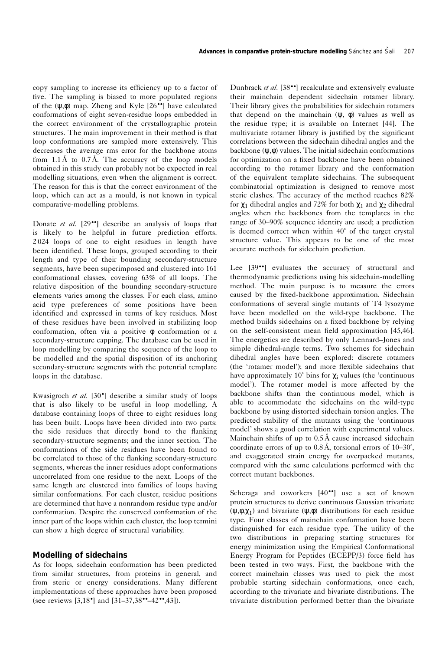copy sampling to increase its efficiency up to a factor of five. The sampling is biased to more populated regions of the (ψ,φ) map. Zheng and Kyle [26••] have calculated conformations of eight seven-residue loops embedded in the correct environment of the crystallographic protein structures. The main improvement in their method is that loop conformations are sampled more extensively. This decreases the average rms error for the backbone atoms from  $1.1 \text{ Å}$  to  $0.7 \text{ Å}$ . The accuracy of the loop models obtained in this study can probably not be expected in real modelling situations, even when the alignment is correct. The reason for this is that the correct environment of the loop, which can act as a mould, is not known in typical comparative-modelling problems.

Donate *et al.* [29••] describe an analysis of loops that is likely to be helpful in future prediction efforts. 2 024 loops of one to eight residues in length have been identified. These loops, grouped according to their length and type of their bounding secondary-structure segments, have been superimposed and clustered into 161 conformational classes, covering 63% of all loops. The relative disposition of the bounding secondary-structure elements varies among the classes. For each class, amino acid type preferences of some positions have been identified and expressed in terms of key residues. Most of these residues have been involved in stabilizing loop conformation, often via a positive φ conformation or a secondary-structure capping. The database can be used in loop modelling by comparing the sequence of the loop to be modelled and the spatial disposition of its anchoring secondary-structure segments with the potential template loops in the database.

Kwasigroch *et al.* [30•] describe a similar study of loops that is also likely to be useful in loop modelling. A database containing loops of three to eight residues long has been built. Loops have been divided into two parts: the side residues that directly bond to the flanking secondary-structure segments; and the inner section. The conformations of the side residues have been found to be correlated to those of the flanking secondary-structure segments, whereas the inner residues adopt conformations uncorrelated from one residue to the next. Loops of the same length are clustered into families of loops having similar conformations. For each cluster, residue positions are determined that have a nonrandom residue type and/or conformation. Despite the conserved conformation of the inner part of the loops within each cluster, the loop termini can show a high degree of structural variability.

## **Modelling of sidechains**

As for loops, sidechain conformation has been predicted from similar structures, from proteins in general, and from steric or energy considerations. Many different implementations of these approaches have been proposed (see reviews [3,18•] and [31–37,38••–42••,43]).

Dunbrack *et al.* [38••] recalculate and extensively evaluate their mainchain dependent sidechain rotamer library. Their library gives the probabilities for sidechain rotamers that depend on the mainchain  $(\psi, \phi)$  values as well as the residue type; it is available on Internet [44]. The multivariate rotamer library is justified by the significant correlations between the sidechain dihedral angles and the backbone  $(\psi, \phi)$  values. The initial sidechain conformations for optimization on a fixed backbone have been obtained according to the rotamer library and the conformation of the equivalent template sidechains. The subsequent combinatorial optimization is designed to remove most steric clashes. The accuracy of the method reaches 82% for  $χ_1$  dihedral angles and 72% for both  $χ_1$  and  $χ_2$  dihedral angles when the backbones from the templates in the range of 30–90% sequence identity are used; a prediction is deemed correct when within 40˚ of the target crystal structure value. This appears to be one of the most accurate methods for sidechain prediction.

Lee [39••] evaluates the accuracy of structural and thermodynamic predictions using his sidechain-modelling method. The main purpose is to measure the errors caused by the fixed-backbone approximation. Sidechain conformations of several single mutants of T4 lysozyme have been modelled on the wild-type backbone. The method builds sidechains on a fixed backbone by relying on the self-consistent mean field approximation [45,46]. The energetics are described by only Lennard–Jones and simple dihedral-angle terms. Two schemes for sidechain dihedral angles have been explored: discrete rotamers (the 'rotamer model'); and more flexible sidechains that have approximately 10 $\degree$  bins for  $\chi$  values (the 'continuous' model'). The rotamer model is more affected by the backbone shifts than the continuous model, which is able to accommodate the sidechains on the wild-type backbone by using distorted sidechain torsion angles. The predicted stability of the mutants using the 'continuous model' shows a good correlation with experimental values. Mainchain shifts of up to  $0.5 \text{ Å}$  cause increased sidechain coordinate errors of up to  $0.8 \text{\AA}$ , torsional errors of  $10-30^{\circ}$ , and exaggerated strain energy for overpacked mutants, compared with the same calculations performed with the correct mutant backbones.

Scheraga and coworkers [40••] use a set of known protein structures to derive continuous Gaussian trivariate  $(\psi, \phi, \chi_1)$  and bivariate  $(\psi, \phi)$  distributions for each residue type. Four classes of mainchain conformation have been distinguished for each residue type. The utility of the two distributions in preparing starting structures for energy minimization using the Empirical Conformational Energy Program for Peptides (ECEPP/3) force field has been tested in two ways. First, the backbone with the correct mainchain classes was used to pick the most probable starting sidechain conformations, once each, according to the trivariate and bivariate distributions. The trivariate distribution performed better than the bivariate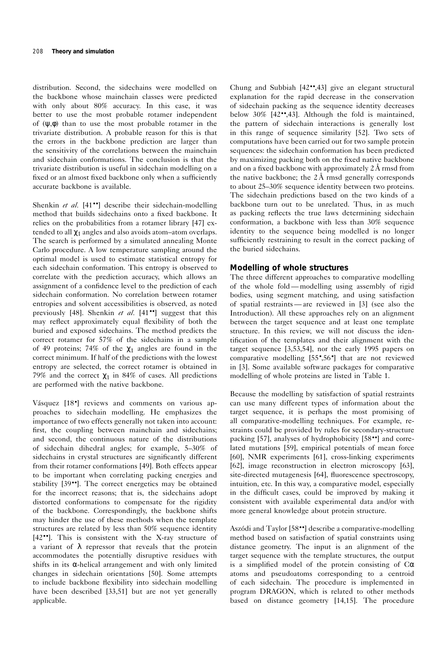distribution. Second, the sidechains were modelled on the backbone whose mainchain classes were predicted with only about 80% accuracy. In this case, it was better to use the most probable rotamer independent of  $(\psi, \phi)$  than to use the most probable rotamer in the trivariate distribution. A probable reason for this is that the errors in the backbone prediction are larger than the sensitivity of the correlations between the mainchain and sidechain conformations. The conclusion is that the trivariate distribution is useful in sidechain modelling on a fixed or an almost fixed backbone only when a sufficiently accurate backbone is available.

Shenkin *et al.* [41<sup>••</sup>] describe their sidechain-modelling method that builds sidechains onto a fixed backbone. It relies on the probabilities from a rotamer library [47] extended to all  $\chi_1$  angles and also avoids atom–atom overlaps. The search is performed by a simulated annealing Monte Carlo procedure. A low temperature sampling around the optimal model is used to estimate statistical entropy for each sidechain conformation. This entropy is observed to correlate with the prediction accuracy, which allows an assignment of a confidence level to the prediction of each sidechain conformation. No correlation between rotamer entropies and solvent accessibilities is observed, as noted previously [48]. Shenkin *et al.* [41••] suggest that this may reflect approximately equal flexibility of both the buried and exposed sidechains. The method predicts the correct rotamer for 57% of the sidechains in a sample of 49 proteins; 74% of the  $\chi_1$  angles are found in the correct minimum. If half of the predictions with the lowest entropy are selected, the correct rotamer is obtained in 79% and the correct  $χ_1$  in 84% of cases. All predictions are performed with the native backbone.

Vásquez  $[18\bullet]$  reviews and comments on various approaches to sidechain modelling. He emphasizes the importance of two effects generally not taken into account: first, the coupling between mainchain and sidechains; and second, the continuous nature of the distributions of sidechain dihedral angles; for example, 5–30% of sidechains in crystal structures are significantly different from their rotamer conformations [49]. Both effects appear to be important when correlating packing energies and stability [39••]. The correct energetics may be obtained for the incorrect reasons; that is, the sidechains adopt distorted conformations to compensate for the rigidity of the backbone. Correspondingly, the backbone shifts may hinder the use of these methods when the template structures are related by less than 50% sequence identity [42••]. This is consistent with the X-ray structure of a variant of  $\lambda$  repressor that reveals that the protein accommodates the potentially disruptive residues with shifts in its  $\alpha$ -helical arrangement and with only limited changes in sidechain orientations [50]. Some attempts to include backbone flexibility into sidechain modelling have been described [33,51] but are not yet generally applicable.

Chung and Subbiah [42••,43] give an elegant structural explanation for the rapid decrease in the conservation of sidechain packing as the sequence identity decreases below 30% [42••,43]. Although the fold is maintained, the pattern of sidechain interactions is generally lost in this range of sequence similarity [52]. Two sets of computations have been carried out for two sample protein sequences: the sidechain conformation has been predicted by maximizing packing both on the fixed native backbone and on a fixed backbone with approximately  $2 \text{ Å}$  rmsd from the native backbone; the  $2\text{\AA}$  rmsd generally corresponds to about 25–30% sequence identity between two proteins. The sidechain predictions based on the two kinds of a backbone turn out to be unrelated. Thus, in as much as packing reflects the true laws determining sidechain conformation, a backbone with less than 30% sequence identity to the sequence being modelled is no longer sufficiently restraining to result in the correct packing of the buried sidechains.

## **Modelling of whole structures**

The three different approaches to comparative modelling of the whole fold — modelling using assembly of rigid bodies, using segment matching, and using satisfaction of spatial restraints — are reviewed in [3] (see also the Introduction). All these approaches rely on an alignment between the target sequence and at least one template structure. In this review, we will not discuss the identification of the templates and their alignment with the target sequence [3,53,54], nor the early 1995 papers on comparative modelling [55•,56•] that are not reviewed in [3]. Some available software packages for comparative modelling of whole proteins are listed in Table 1.

Because the modelling by satisfaction of spatial restraints can use many different types of information about the target sequence, it is perhaps the most promising of all comparative-modelling techniques. For example, restraints could be provided by rules for secondary-structure packing [57], analyses of hydrophobicity [58••] and correlated mutations [59], empirical potentials of mean force [60], NMR experiments [61], cross-linking experiments [62], image reconstruction in electron microscopy [63], site-directed mutagenesis [64], fluorescence spectroscopy, intuition, etc. In this way, a comparative model, especially in the difficult cases, could be improved by making it consistent with available experimental data and/or with more general knowledge about protein structure.

Aszódi and Taylor [58<sup>••</sup>] describe a comparative-modelling method based on satisfaction of spatial constraints using distance geometry. The input is an alignment of the target sequence with the template structures, the output is a simplified model of the protein consisting of  $C\alpha$ atoms and pseudoatoms corresponding to a centroid of each sidechain. The procedure is implemented in program DRAGON, which is related to other methods based on distance geometry [14,15]. The procedure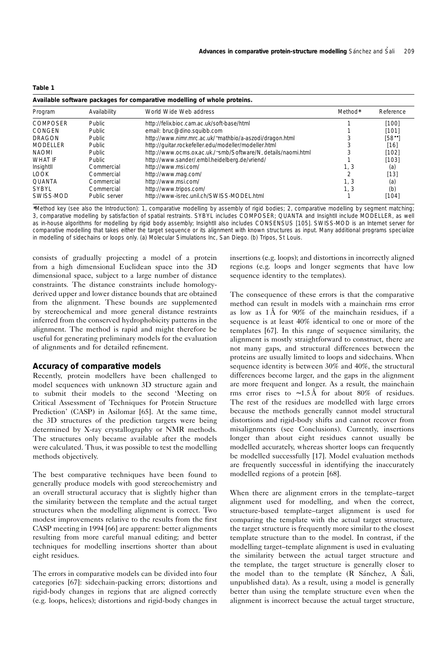| L<br>ш. |  |
|---------|--|
|         |  |

| Available software packages for comparative modelling of whole proteins. |               |                                                              |         |           |  |
|--------------------------------------------------------------------------|---------------|--------------------------------------------------------------|---------|-----------|--|
| Program                                                                  | Availability  | World Wide Web address                                       | Method* | Reference |  |
| <b>COMPOSER</b>                                                          | Public.       | http://felix.bioc.cam.ac.uk/soft-base/html                   |         | [100]     |  |
| CONGEN                                                                   | <b>Public</b> | email: bruc@dino.squibb.com                                  |         | [101]     |  |
| <b>DRAGON</b>                                                            | <b>Public</b> | http://www.nimr.mrc.ac.uk/~mathbio/a-aszodi/dragon.html      |         | [58]      |  |
| <b>MODELLER</b>                                                          | <b>Public</b> | http://quitar.rockefeller.edu/modeller/modeller.html         |         | [16]      |  |
| <b>NAOMI</b>                                                             | <b>Public</b> | http://www.ocms.ox.ac.uk./~smb/Software/N_details/naomi.html |         | [102]     |  |
| <b>WHAT IF</b>                                                           | <b>Public</b> | http://www.sander/.embl.heidelberg.de/vriend/                |         | [103]     |  |
| Insightll                                                                | Commercial    | http://www.msi.com/                                          | 1, 3    | (a)       |  |
| LOOK.                                                                    | Commercial    | http://www.mag.com/                                          | ำ       | [13]      |  |
| <b>OUANTA</b>                                                            | Commercial    | http://www.msi.com/                                          | 1.3     | (a)       |  |
| <b>SYBYL</b>                                                             | Commercial    | http://www.tripos.com/                                       | 1, 3    | (b)       |  |
| SWISS-MOD                                                                | Public server | http://www-isrec.unil.ch/SWISS-MODEL.html                    |         | [104]     |  |

∗Method key (see also the Introduction): 1, comparative modelling by assembly of rigid bodies; 2, comparative modelling by segment matching; 3, comparative modelling by satisfaction of spatial restraints. SYBYL includes COMPOSER; QUANTA and InsightII include MODELLER, as well as in-house algorithms for modelling by rigid body assembly; InsightII also includes CONSENSUS [105]. SWISS-MOD is an Internet server for comparative modelling that takes either the target sequence or its alignment with known structures as input. Many additional programs specialize in modelling of sidechains or loops only. (a) Molecular Simulations Inc, San Diego. (b) Tripos, St Louis.

consists of gradually projecting a model of a protein from a high dimensional Euclidean space into the 3D dimensional space, subject to a large number of distance constraints. The distance constraints include homologyderived upper and lower distance bounds that are obtained from the alignment. These bounds are supplemented by stereochemical and more general distance restraints inferred from the conserved hydrophobicity patterns in the alignment. The method is rapid and might therefore be useful for generating preliminary models for the evaluation of alignments and for detailed refinement.

## **Accuracy of comparative models**

Recently, protein modellers have been challenged to model sequences with unknown 3D structure again and to submit their models to the second 'Meeting on Critical Assessment of Techniques for Protein Structure Prediction' (CASP) in Asilomar [65]. At the same time, the 3D structures of the prediction targets were being determined by X-ray crystallography or NMR methods. The structures only became available after the models were calculated. Thus, it was possible to test the modelling methods objectively.

The best comparative techniques have been found to generally produce models with good stereochemistry and an overall structural accuracy that is slightly higher than the similarity between the template and the actual target structures when the modelling alignment is correct. Two modest improvements relative to the results from the first CASP meeting in 1994 [66] are apparent: better alignments resulting from more careful manual editing; and better techniques for modelling insertions shorter than about eight residues.

The errors in comparative models can be divided into four categories [67]: sidechain-packing errors; distortions and rigid-body changes in regions that are aligned correctly (e.g. loops, helices); distortions and rigid-body changes in insertions (e.g. loops); and distortions in incorrectly aligned regions (e.g. loops and longer segments that have low sequence identity to the templates).

The consequence of these errors is that the comparative method can result in models with a mainchain rms error as low as  $1 \text{\AA}$  for 90% of the mainchain residues, if a sequence is at least 40% identical to one or more of the templates [67]. In this range of sequence similarity, the alignment is mostly straightforward to construct, there are not many gaps, and structural differences between the proteins are usually limited to loops and sidechains. When sequence identity is between 30% and 40%, the structural differences become larger, and the gaps in the alignment are more frequent and longer. As a result, the mainchain rms error rises to ~1.5Å for about 80% of residues. The rest of the residues are modelled with large errors because the methods generally cannot model structural distortions and rigid-body shifts and cannot recover from misalignments (see Conclusions). Currently, insertions longer than about eight residues cannot usually be modelled accurately, whereas shorter loops can frequently be modelled successfully [17]. Model evaluation methods are frequently successful in identifying the inaccurately modelled regions of a protein [68].

When there are alignment errors in the template–target alignment used for modelling, and when the correct, structure-based template–target alignment is used for comparing the template with the actual target structure, the target structure is frequently more similar to the closest template structure than to the model. In contrast, if the modelling target–template alignment is used in evaluating the similarity between the actual target structure and the template, the target structure is generally closer to the model than to the template  $(R$  Sánchez,  $A$  Šali, unpublished data). As a result, using a model is generally better than using the template structure even when the alignment is incorrect because the actual target structure,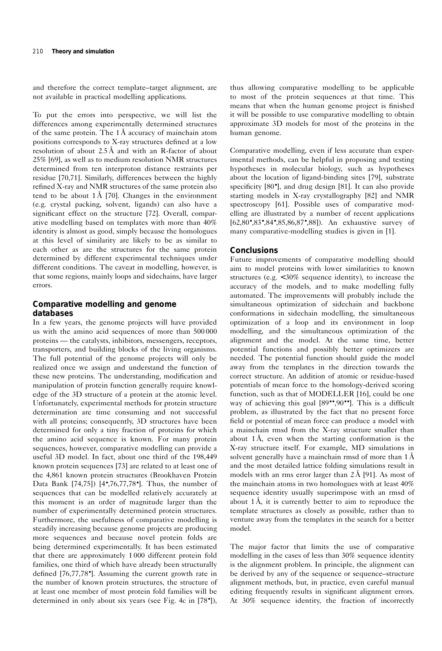and therefore the correct template–target alignment, are not available in practical modelling applications.

To put the errors into perspective, we will list the differences among experimentally determined structures of the same protein. The  $1 \AA$  accuracy of mainchain atom positions corresponds to X-ray structures defined at a low resolution of about  $2.5 \text{ Å}$  and with an R-factor of about 25% [69], as well as to medium resolution NMR structures determined from ten interproton distance restraints per residue [70,71]. Similarly, differences between the highly refined X-ray and NMR structures of the same protein also tend to be about  $1 \text{\AA}$  [70]. Changes in the environment (e.g. crystal packing, solvent, ligands) can also have a significant effect on the structure [72]. Overall, comparative modelling based on templates with more than 40% identity is almost as good, simply because the homologues at this level of similarity are likely to be as similar to each other as are the structures for the same protein determined by different experimental techniques under different conditions. The caveat in modelling, however, is that some regions, mainly loops and sidechains, have larger errors.

# **Comparative modelling and genome databases**

In a few years, the genome projects will have provided us with the amino acid sequences of more than 500 000 proteins — the catalysts, inhibitors, messengers, receptors, transporters, and building blocks of the living organisms. The full potential of the genome projects will only be realized once we assign and understand the function of these new proteins. The understanding, modification and manipulation of protein function generally require knowledge of the 3D structure of a protein at the atomic level. Unfortunately, experimental methods for protein structure determination are time consuming and not successful with all proteins; consequently, 3D structures have been determined for only a tiny fraction of proteins for which the amino acid sequence is known. For many protein sequences, however, comparative modelling can provide a useful 3D model. In fact, about one third of the 198,449 known protein sequences [73] are related to at least one of the 4,861 known protein structures (Brookhaven Protein Data Bank [74,75]) [4•,76,77,78•]. Thus, the number of sequences that can be modelled relatively accurately at this moment is an order of magnitude larger than the number of experimentally determined protein structures. Furthermore, the usefulness of comparative modelling is steadily increasing because genome projects are producing more sequences and because novel protein folds are being determined experimentally. It has been estimated that there are approximately 1 000 different protein fold families, one third of which have already been structurally defined [76,77,78•]. Assuming the current growth rate in the number of known protein structures, the structure of at least one member of most protein fold families will be determined in only about six years (see Fig. 4c in [78•]),

thus allowing comparative modelling to be applicable to most of the protein sequences at that time. This means that when the human genome project is finished it will be possible to use comparative modelling to obtain approximate 3D models for most of the proteins in the human genome.

Comparative modelling, even if less accurate than experimental methods, can be helpful in proposing and testing hypotheses in molecular biology, such as hypotheses about the location of ligand-binding sites [79], substrate specificity [80<sup>•</sup>], and drug design [81]. It can also provide starting models in X-ray crystallography [82] and NMR spectroscopy [61]. Possible uses of comparative modelling are illustrated by a number of recent applications [62,80•,83•,84•,85,86,87•,88]). An exhaustive survey of many comparative-modelling studies is given in [1].

## **Conclusions**

Future improvements of comparative modelling should aim to model proteins with lower similarities to known structures (e.g. < 30% sequence identity), to increase the accuracy of the models, and to make modelling fully automated. The improvements will probably include the simultaneous optimization of sidechain and backbone conformations in sidechain modelling, the simultaneous optimization of a loop and its environment in loop modelling, and the simultaneous optimization of the alignment and the model. At the same time, better potential functions and possibly better optimizers are needed. The potential function should guide the model away from the templates in the direction towards the correct structure. An addition of atomic or residue-based potentials of mean force to the homology-derived scoring function, such as that of MODELLER [16], could be one way of achieving this goal [89••,90••]. This is a difficult problem, as illustrated by the fact that no present force field or potential of mean force can produce a model with a mainchain rmsd from the X-ray structure smaller than about  $1 \text{\AA}$ , even when the starting conformation is the X-ray structure itself. For example, MD simulations in solvent generally have a mainchain rmsd of more than  $1 \, \text{\AA}$ and the most detailed lattice folding simulations result in models with an rms error larger than  $2\text{\AA}$  [91]. As most of the mainchain atoms in two homologues with at least 40% sequence identity usually superimpose with an rmsd of about  $1 \text{\AA}$ , it is currently better to aim to reproduce the template structures as closely as possible, rather than to venture away from the templates in the search for a better model.

The major factor that limits the use of comparative modelling in the cases of less than 30% sequence identity is the alignment problem. In principle, the alignment can be derived by any of the sequence or sequence–structure alignment methods, but, in practice, even careful manual editing frequently results in significant alignment errors. At 30% sequence identity, the fraction of incorrectly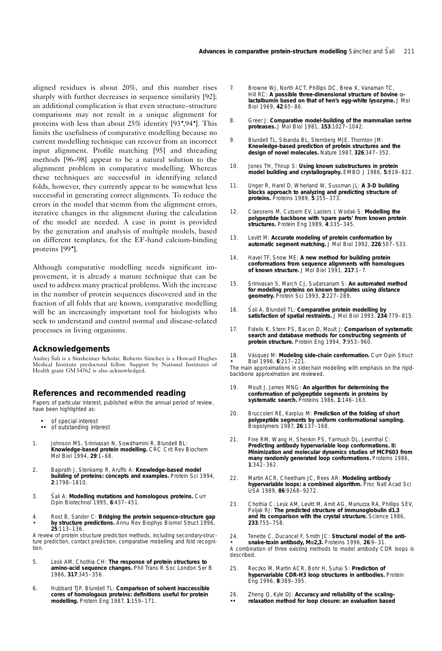aligned residues is about 20%, and this number rises sharply with further decreases in sequence similarity [92]; an additional complication is that even structure–structure comparisons may not result in a unique alignment for proteins with less than about 25% identity [93•,94•]. This limits the usefulness of comparative modelling because no current modelling technique can recover from an incorrect input alignment. Profile matching [95] and threading methods [96–98] appear to be a natural solution to the alignment problem in comparative modelling. Whereas these techniques are successful in identifying related folds, however, they currently appear to be somewhat less successful in generating correct alignments. To reduce the errors in the model that stemm from the alignment errors, iterative changes in the alignment during the calculation of the model are needed. A case in point is provided by the generation and analysis of multiple models, based on different templates, for the EF-hand calcium-binding proteins [99•].

Although comparative modelling needs significant improvement, it is already a mature technique that can be used to address many practical problems. With the increase in the number of protein sequences discovered and in the fraction of all folds that are known, comparative modelling will be an increasingly important tool for biologists who seek to understand and control normal and disease-related processes in living organisms.

## **Acknowledgements**

Andrej Šali is a Sinsheimer Scholar. Roberto Sánchez is a Howard Hughes Medical Institute predoctoral fellow. Support by National Institutes of Health grant GM 54762 is also acknowledged.

## **References and recommended reading**

Papers of particular interest, published within the annual period of review, have been highlighted as:

- of special interest of outstanding interest
- 1. Johnson MS, Srinivasan N, Sowdhamini R, Blundell BL: **Knowledge-based protein modelling.** *CRC Crit Rev Biochem Mol Biol* 1994, **29**:1–68.
- 2. Bajorath J, Stenkamp R, Aruffo A: **Knowledge-based model building of proteins: concepts and examples.** *Protein Sci* 1994, **2**:1798–1810.
- 3. Šali A: Modelling mutations and homologous proteins. Curr *Opin Biotechnol* 1995, **6**:437–451.
- 4. Rost B, Sander C: **Bridging the protein sequence-structure gap by structure predictions.** *Annu Rev Biophys Biomol Struct* 1996, **25**:113–136.

A review of protein structure prediction methods, including secondary-structure prediction, contact prediction, comparative modelling and fold recognition.

- 5. Lesk AM, Chothia CH: **The response of protein structures to amino-acid sequence changes.** *Phil Trans R Soc London Ser B* 1986, **317**:345–356.
- 6. Hubbard TJP, Blundell TL: **Comparison of solvent inaccessible cores of homologous proteins: definitions useful for protein modelling.** *Protein Eng* 1987, **1**:159–171.
- 7. Browne WJ, North ACT, Phillips DC, Brew K, Vanaman TC, Hill RC: **A possible three-dimensional structure of bovine** α**lactalbumin based on that of hen's egg-white lysozyme.** *J Mol Biol* 1969, **42**:65–86.
- 8. Greer J: **Comparative model-building of the mammalian serine proteases.** *J Mol Biol* 1981, **153**:1027–1042.
- 9. Blundell TL, Sibanda BL, Sternberg MJE, Thornton JM: **Knowledge-based prediction of protein structures and the design of novel molecules.** *Nature* 1987, **326**:347–352.
- 10. Jones TH, Thirup S: **Using known substructures in protein model building and crystallography.** *EMBO J* 1986, **5**:819–822.
- 11. Unger R, Harel D, Wherland W, Sussman JL: **A 3-D building blocks approach to analyzing and predicting structure of proteins.** *Proteins* 1989, **5**:355–373.
- 12. Claessens M, Cutsem EV, Lasters I, Wodak S: **Modelling the polypeptide backbone with 'spare parts' from known protein structures.** *Protein Eng* 1989, **4**:335–345.
- 13. Levitt M: **Accurate modeling of protein conformation by automatic segment matching.** *J Mol Biol* 1992, **226**:507–533.
- 14. Havel TF, Snow ME: **A new method for building protein conformations from sequence alignments with homologues of known structure.** *J Mol Biol* 1991, **217**:1–7.
- 15. Srinivasan S, March CJ, Sudarsanam S: **An automated method for modeling proteins on known templates using distance geometry.** *Protein Sci* 1993, **2**:227–289.
- 16. Šali A, Blundell TL: Comparative protein modelling by **satisfaction of spatial restraints.** *J Mol Biol* 1993, **234**:779–815.
- 17. Fidelis K, Stern PS, Bacon D, Moult J: **Comparison of systematic search and database methods for constructing segments of protein structure.** *Protein Eng* 1994, **7**:953–960.
- 18. Vásquez M: Modeling side-chain conformation. Curr Opin Struct *Biol* 1996, **6**:217–221.

The main approximations in sidechain modelling with emphasis on the rigidbackbone approximation are reviewed.

- 19. Moult J, James MNG: **An algorithm for determining the conformation of polypeptide segments in proteins by systematic search.** *Proteins* 1986, **1**:146–163.
- 20. Bruccoleri RE, Karplus M: **Prediction of the folding of short polypeptide segments by uniform conformational sampling.** *Biopolymers* 1987, **26**:137–168.
- 21. Fine RM, Wang H, Shenkin PS, Yarmush DL, Levinthal C: **Predicting antibody hypervariable loop conformations. II: Minimization and molecular dynamics studies of MCP603 from many randomly generated loop conformations.** *Proteins* 1986, **1**:342–362.
- 22. Martin ACR, Cheetham JC, Rees AR: **Modeling antibody hypervariable loops: a combined algorithm.** *Proc Natl Acad Sci USA* 1989, **86**:9268–9272.
- 23. Chothia C, Lesk AM, Levitt M, Amit AG, Mariuzza RA, Phillips SEV, Poljak RJ: **The predicted structure of immunoglobulin d1.3 and its comparison with the crystal structure.** *Science* 1986, **233**:755–758.

• 24. Tenette C, Ducancel F, Smith JC: **Structural model of the antisnake-toxin antibody, M**α**2,3.** *Proteins* 1996, **26**:9–31. A combination of three existing methods to model antibody CDR loops is described.

- 25. Reczko M, Martin ACR, Bohr H, Suhai S: **Prediction of hypervariable CDR-H3 loop structures in antibodies.** *Protein Eng* 1996, **8**:389–395.
- 26. Zheng Q, Kyle DJ: **Accuracy and reliability of the scaling-**
- •• **relaxation method for loop closure: an evaluation based**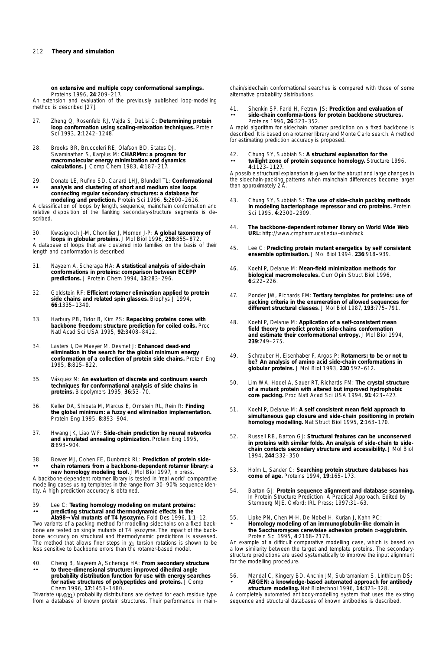**on extensive and multiple copy conformational samplings.** *Proteins* 1996, **24**:209–217.

An extension and evaluation of the previously published loop-modelling method is described [27].

- 27. Zheng Q, Rosenfeld RJ, Vajda S, DeLisi C: **Determining protein loop conformation using scaling-relaxation techniques.** *Protein Sci* 1993, **2**:1242–1248.
- 28. Brooks BR, Bruccoleri RE, Olafson BD, States DJ, Swaminathan S, Karplus M: **CHARMm: a program for macromolecular energy minimization and dynamics calculations.** *J Comp Chem* 1983, **4**:187–217.
- •• 29. Donate LE, Rufino SD, Canard LHJ, Blundell TL: **Conformational analysis and clustering of short and medium size loops connecting regular secondary structures: a database for modeling and prediction.** *Protein Sci* 1996, **5**:2600–2616.

A classification of loops by length, sequence, mainchain conformation and relative disposition of the flanking secondary-structure segments is described.

• 30. Kwasigroch J-M, Chomilier J, Mornon J-P: **A global taxonomy of loops in globular proteins.** *J Mol Biol* 1996, **259**:855–872. A database of loops that are clustered into families on the basis of their length and conformation is described.

- 31. Nayeem A, Scheraga HA: **A statistical analysis of side-chain conformations in proteins: comparison between ECEPP predictions.** *J Protein Chem* 1994, **13**:283–296.
- 32. Goldstein RF: **Efficient rotamer elimination applied to protein side chains and related spin glasses.** *Biophys J* 1994, **66**:1335–1340.
- 33. Harbury PB, Tidor B, Kim PS: **Repacking proteins cores with backbone freedom: structure prediction for coiled coils.** *Proc Natl Acad Sci USA* 1995, **92**:8408–8412.
- 34. Lasters I, De Maeyer M, Desmet J: **Enhanced dead-end elimination in the search for the global minimum energy conformation of a collection of protein side chains.** *Protein Eng* 1995, **8**:815–822.
- 35. Vásquez M: An evaluation of discrete and continuum search **techniques for conformational analysis of side chains in proteins.** *Biopolymers* 1995, **36**:53–70.
- 36. Keller DA, Shibata M, Marcus E, Ornstein RL, Rein R: **Finding the global minimum: a fuzzy end elimination implementation.** *Protein Eng* 1995, **8**:893–904.
- 37. Hwang JK, Liao WF: **Side-chain prediction by neural networks and simulated annealing optimization.** *Protein Eng* 1995, **8**:893–904.
- •• 38. Bower MJ, Cohen FE, Dunbrack RL: **Prediction of protein sidechain rotamers from a backbone-dependent rotamer library: a new homology modeling tool.** *J Mol Biol* 1997, in press.

A backbone-dependent rotamer library is tested in 'real world' comparative modelling cases using templates in the range from 30–90% sequence identity. A high prediction accuracy is obtained.

•• **Ala98**→**Val mutants of T4 lysozyme.** *Fold Des* 1996, **1**:1–12. 39. Lee C: **Testing homology modeling on mutant proteins: predicting structural and thermodynamic effects in the**

Two variants of a packing method for modelling sidechains on a fixed backbone are tested on single mutants of T4 lysozyme. The impact of the backbone accuracy on structural and thermodynamic predictions is assessed. The method that allows finer steps in  $\chi_1$  torsion rotations is shown to be less sensitive to backbone errors than the rotamer-based model.

•• 40. Cheng B, Nayeem A, Scheraga HA: **From secondary structure to three-dimensional structure: improved dihedral angle probability distribution function for use with energy searches for native structures of polypeptides and proteins.** *J Comp Chem* 1996, **17**:1453–1480.

Trivariate ( $\psi$ , $\phi$ , $\chi$ <sub>1</sub>) probability distributions are derived for each residue type from a database of known protein structures. Their performance in mainchain/sidechain conformational searches is compared with those of some alternative probability distributions.

•• 41. Shenkin SP, Farid H, Fetrow JS: **Prediction and evaluation of side-chain conforma-tions for protein backbone structures.** *Proteins* 1996, **26**:323–352.

A rapid algorithm for sidechain rotamer prediction on a fixed backbone is described. It is based on a rotamer library and Monte Carlo search. A method for estimating prediction accuracy is proposed.

•• 42. Chung SY, Subbiah S: **A structural explanation for the twilight zone of protein sequence homology.** *Structure* 1996, **4**:1123–1127.

A possible structural explanation is given for the abrupt and large changes in the sidechain-packing patterns when mainchain differences become larger than approximately 2 A

- 43. Chung SY, Subbiah S: **The use of side-chain packing methods in modeling bacteriophage repressor and cro proteins.** *Protein Sci* 1995, **4**:2300–2309.
- 44. **The backbone-dependent rotamer library on World Wide Web URL:** http://www.cmpharm.ucsf.edu/∼dunbrack
- 45. Lee C: **Predicting protein mutant energetics by self consistent ensemble optimisation.** *J Mol Biol* 1994, **236**:918–939.
- 46. Koehl P, Delarue M: **Mean-field minimization methods for biological macromolecules.** *Curr Opin Struct Biol* 1996, **6**:222–226.
- 47. Ponder JW, Richards FM: **Tertiary templates for proteins: use of packing criteria in the enumeration of allowed sequences for different structural classes.** *J Mol Biol* 1987, **193**:775–791.
- 48. Koehl P, Delarue M: **Application of a self-consistent mean field theory to predict protein side-chains conformation and estimate their conformational entropy.** *J Mol Biol* 1994, **239**:249–275.
- 49. Schrauber H, Eisenhaber F, Argos P: **Rotamers: to be or not to be? An analysis of amino acid side-chain conformations in globular proteins.** *J Mol Biol* 1993, **230**:592–612.
- 50. Lim WA, Hodel A, Sauer RT, Richards FM: **The crystal structure of a mutant protein with altered but improved hydrophobic core packing.** *Proc Natl Acad Sci USA* 1994, **91**:423–427.
- 51. Koehl P, Delarue M: **A self consistent mean field approach to simultaneous gap closure and side-chain positioning in protein homology modelling.** *Nat Struct Biol* 1995, **2**:163–170.
- 52. Russell RB, Barton GJ: **Structural features can be unconserved in proteins with similar folds. An analysis of side-chain to sidechain contacts secondary structure and accessibility.** *J Mol Biol* 1994, **244**:332–350.
- 53. Holm L, Sander C: **Searching protein structure databases has come of age.** *Proteins* 1994, **19**:165–173.
- 54. Barton GJ: **Protein sequence alignment and database scanning.** In *Protein Structure Prediction: A Practical Approach.* Edited by Sternberg MJE. Oxford: IRL Press; 1997:31-63.
- 55. Lipke PN, Chen M-H, De Nobel H, Kurjan J, Kahn PC:
- **Homology modeling of an immunoglobulin-like domain in the** *Saccharomyces cerevisiae* **adhesion protein** α**-agglutinin.** *Protein Sci* 1995, **4**:2168–2178.

An example of a difficult comparative modelling case, which is based on a low similarity between the target and template proteins. The secondarystructure predictions are used systematically to improve the input alignment for the modelling procedure.

• 56. Mandal C, Kingery BD, Anchin JM, Subramaniam S, Linthicum DS: **ABGEN: a knowledge-based automated approach for antibody structure modeling.** *Nat Biotechnol* 1996, **14**:323–328.

A completely automated antibody-modelling system that uses the existing sequence and structural databases of known antibodies is described.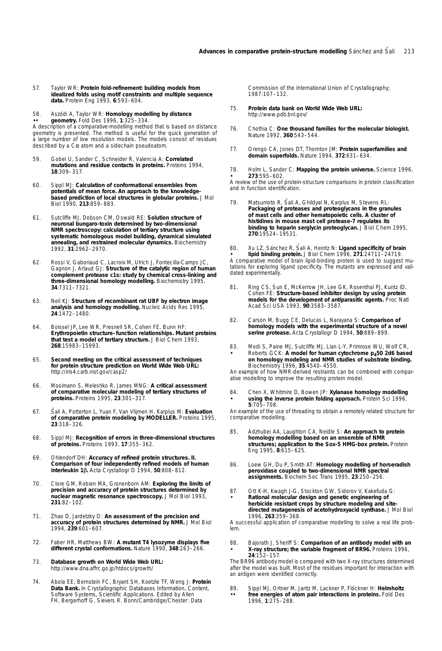- 57. Taylor WR: **Protein fold-refinement: building models from idealized folds using motif constraints and multiple sequence data.** *Protein Eng* 1993, **6**:593–604.
- •• 58. Aszódi A, Taylor WR: Homology modelling by distance **geometry.** *Fold Des* 1996, **1**:325–334.

A description of a comparative-modelling method that is based on distance geometry is presented. The method is useful for the quick generation of a large number of low resolution models. The models consist of residues described by a Cα atom and a sidechain pseudoatom.

- 59. Gobel U, Sander C, Schneider R, Valencia A: **Correlated mutations and residue contacts in proteins.** *Proteins* 1994, **18**:309–317.
- 60. Sippl MJ: **Calculation of conformational ensembles from potentials of mean force. An approach to the knowledgebased prediction of local structures in globular proteins.** *J Mol Biol* 1990, **213**:859–883.
- 61. Sutcliffe MJ, Dobson CM, Oswald RE: **Solution structure of neuronal bungaro-toxin determined by two-dimensional NMR spectroscopy: calculation of tertiary structure using systematic homologous model building, dynamical simulated annealing, and restrained molecular dynamics.** *Biochemistry* 1992, **31**:2962–2970.
- 62. Rossi V, Gaboriaud C, Lacroix M, Ulrich J, Fontecilla-Camps JC, Gagnon J, Arlaud GJ: **Structure of the catalytic region of human complement protease c1s: study by chemical cross-linking and three-dimensional homology modelling.** *Biochemistry* 1995, **34**:7311–7321.
- 63. Neil KJ: **Structure of recombinant rat UBF by electron image analysis and homology modelling.** *Nucleic Acids Res* 1995, **24**:1472–1480.
- 64. Boissel JP, Lee WR, Presnell SR, Cohen FE, Bunn HF: **Erythropoietin structure–function relationships. Mutant proteins that test a model of tertiary structure.** *J Biol Chem* 1993, **268**:15983–15993.
- 65. **Second meeting on the critical assessment of techniques for protein structure prediction on World Wide Web URL:** http://iris4.carb.nist.gov/casp2/
- 66. Mosimann S, Meleshko R, James MNG: **A critical assessment of comparative molecular modeling of tertiary structures of proteins.** *Proteins* 1995, **23**:301–317.
- 67. Šali A, Potterton L, Yuan F, Van Vlijmen H, Karplus M: Evaluation **of comparative protein modeling by MODELLER.** *Proteins* 1995, **23**:318–326.
- 68. Sippl MJ: **Recognition of errors in three-dimensional structures of proteins.** *Proteins* 1993, **17**:355–362.
- 69. Ohlendorf DH: **Accuracy of refined protein structures. II. Comparison of four independently refined models of human interleukin 1**β**.** *Acta Crystallogr D* 1994, **50**:808–812.
- 70. Clore GM, Robien MA, Gronenborn AM: **Exploring the limits of precision and accuracy of protein structures determined by nuclear magnetic resonance spectroscopy.** *J Mol Biol* 1993, **231**:82–102.
- 71. Zhao D, Jardetzky O: **An assessment of the precision and accuracy of protein structures determined by NMR.** *J Mol Biol* 1994, **239**:601–607.
- 72. Faber HR, Matthews BW: **A mutant T4 lysozyme displays five different crystal conformations.** *Nature* 1990, **348**:263–266.
- 73. **Database growth on World Wide Web URL:** http://www.dna.affrc.go.jp/htdocs/growth/
- 74. Abola EE, Bernstein FC, Bryant SH, Koetzle TF, Weng J: **Protein Data Bank.** In *Crystallographic Databases Information, Content, Software Systems, Scientific Applications.* Edited by Allen FH, Bergerhoff G, Sievers R. Bonn/Cambridge/Chester: Data

Commission of the International Union of Crystallography; 1987:107–132.

- 75. **Protein data bank on World Wide Web URL:** http://www.pdb.bnl.gov/
- 76. Chothia C: **One thousand families for the molecular biologist.** *Nature* 1992, **360**:543–544.
- 77. Orengo CA, Jones DT, Thornton JM: **Protein superfamilies and domain superfolds.** *Nature* 1994, **372**:631–634.

• 78. Holm L, Sander C: **Mapping the protein universe.** *Science* 1996, **273**:595–602.

A review of the use of protein-structure comparisons in protein classification and in function identification.

79. Matsumoto R, Šali A, Ghildyal N, Karplus M, Stevens RL:<br>**Packaging of proteases and proteoglycans in the granules of mast cells and other hematopoietic cells. A cluster of histidines in mouse mast cell protease-7 regulates its binding to heparin serglycin proteoglycan.** *J Biol Chem* 1995, **270**:19524–19531.

• 80. Xu LZ, Sánchez R, Šali A, Heintz N: Ligand specificity of brain **lipid binding protein.** *J Biol Chem* 1996, **271**:24711–24719. A comparative model of brain lipid-binding protein is used to suggest mutations for exploring ligand specificity. The mutants are expressed and validated experimentally.

- 81. Ring CS, Sun E, McKerrow JH, Lee GK, Rosenthal PJ, Kuntz ID, Cohen FE: **Structure-based inhibitor design by using protein models for the development of antiparasitic agents.** *Proc Natl Acad Sci USA* 1993, **90**:3583–3587.
- 82. Carson M, Bugg CE, Delucas L, Narayana S: **Comparison of homology models with the experimental structure of a novel serine protease.** *Acta Crystallogr D* 1994, **50**:889–899.
- 83. Modi S, Paine MJ, Sutcliffe MJ, Lian L-Y, Primrose WU, Wolf CR, Roberts GCK: **A model for human cytochrome p450 2d6 based on homology modeling and NMR studies of substrate binding.** *Biochemistry* 1996, **35**:4540–4550.

An example of how NMR-derived restraints can be combined with comparative modelling to improve the resulting protein model.

• 84. Chen X, Whitmire D, Bowen JP: **Xylanase homology modelling using the inverse protein folding approach.** *Protein Sci* 1996, **5**:705–708.

An example of the use of threading to obtain a remotely related structure for comparative modelling.

- 85. Adzhubei AA, Laughton CA, Neidle S: **An approach to protein homology modelling based on an ensemble of NMR structures; application to the Sox-5 HMG-box protein.** *Protein Eng* 1995, **8**:615–625.
- 86. Loew GH, Du P, Smith AT: **Homology modelling of horseradish peroxidase coupled to two-dimensional NMR spectral assignments.** *Biochem Soc Trans* 1995, **23**:250–256.
- 87. Ott K-H, Kwagh J-G, Stockton GW, Sidorov V, Kakefuda G: **Rational molecular design and genetic engineering of herbicide resistant crops by structure modeling and sitedirected mutagenesis of acetohydroxyacid synthase.** *J Mol Biol* 1996, **263**:359–368.

A successful application of comparative modelling to solve a real life problem.

• 88. Bajorath J, Sheriff S: **Comparison of an antibody model with an X-ray structure; the variable fragment of BR96.** *Proteins* 1996, **24**:152–157.

The BR96 antibody model is compared with two X-ray structures determined after the model was built. Most of the residues important for interaction with an antigen were identified correctly.

•• 89. Sippl MJ, Ortner M, Jaritz M, Lackner P, Flöckner H: Helmholtz **free energies of atom pair interactions in proteins.** *Fold Des* 1996, **1**:275–288.